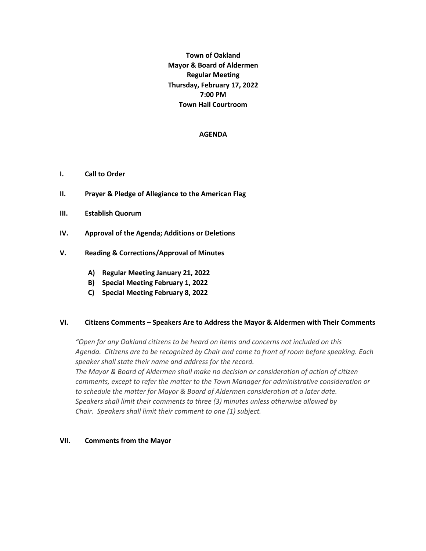**Town of Oakland Mayor & Board of Aldermen Regular Meeting Thursday, February 17, 2022 7:00 PM Town Hall Courtroom** 

### **AGENDA**

- **I. Call to Order**
- **II. Prayer & Pledge of Allegiance to the American Flag**
- **III. Establish Quorum**
- **IV. Approval of the Agenda; Additions or Deletions**
- **V. Reading & Corrections/Approval of Minutes**
	- **A) Regular Meeting January 21, 2022**
	- **B) Special Meeting February 1, 2022**
	- **C) Special Meeting February 8, 2022**

### **VI. Citizens Comments – Speakers Are to Address the Mayor & Aldermen with Their Comments**

*"Open for any Oakland citizens to be heard on items and concerns not included on this Agenda. Citizens are to be recognized by Chair and come to front of room before speaking. Each speaker shall state their name and address for the record. The Mayor & Board of Aldermen shall make no decision or consideration of action of citizen comments, except to refer the matter to the Town Manager for administrative consideration or to schedule the matter for Mayor & Board of Aldermen consideration at a later date. Speakers shall limit their comments to three (3) minutes unless otherwise allowed by Chair. Speakers shall limit their comment to one (1) subject.*

#### **VII. Comments from the Mayor**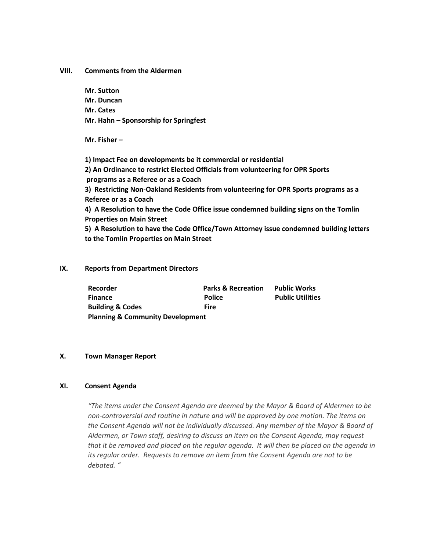**VIII. Comments from the Aldermen** 

**Mr. Sutton Mr. Duncan Mr. Cates Mr. Hahn – Sponsorship for Springfest** 

**Mr. Fisher –**

**1) Impact Fee on developments be it commercial or residential 2) An Ordinance to restrict Elected Officials from volunteering for OPR Sports programs as a Referee or as a Coach 3) Restricting Non-Oakland Residents from volunteering for OPR Sports programs as a Referee or as a Coach 4) A Resolution to have the Code Office issue condemned building signs on the Tomlin Properties on Main Street 5) A Resolution to have the Code Office/Town Attorney issue condemned building letters to the Tomlin Properties on Main Street**

## **IX. Reports from Department Directors**

| <b>Recorder</b>                             | <b>Parks &amp; Recreation</b> | <b>Public Works</b>     |  |  |  |
|---------------------------------------------|-------------------------------|-------------------------|--|--|--|
| <b>Finance</b>                              | <b>Police</b>                 | <b>Public Utilities</b> |  |  |  |
| <b>Building &amp; Codes</b>                 | <b>Fire</b>                   |                         |  |  |  |
| <b>Planning &amp; Community Development</b> |                               |                         |  |  |  |

## **X. Town Manager Report**

# **XI. Consent Agenda**

*"The items under the Consent Agenda are deemed by the Mayor & Board of Aldermen to be non-controversial and routine in nature and will be approved by one motion. The items on the Consent Agenda will not be individually discussed. Any member of the Mayor & Board of Aldermen, or Town staff, desiring to discuss an item on the Consent Agenda, may request that it be removed and placed on the regular agenda. It will then be placed on the agenda in its regular order. Requests to remove an item from the Consent Agenda are not to be debated. "*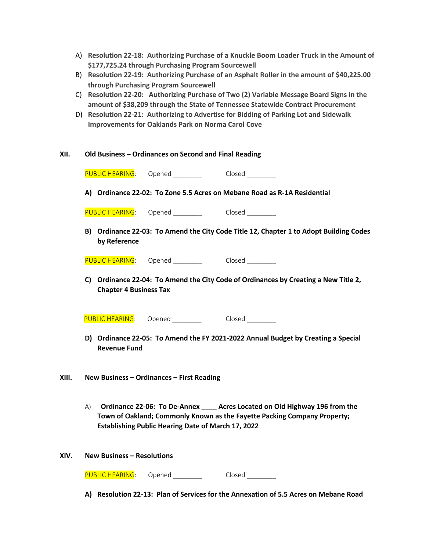|                                                    | A) Resolution 22-18: Authorizing Purchase of a Knuckle Boom Loader Truck in the Amount of |
|----------------------------------------------------|-------------------------------------------------------------------------------------------|
| \$177,725.24 through Purchasing Program Sourcewell |                                                                                           |

- B) **Resolution 22-19: Authorizing Purchase of an Asphalt Roller in the amount of \$40,225.00 through Purchasing Program Sourcewell**
- C) **Resolution 22-20: Authorizing Purchase of Two (2) Variable Message Board Signs in the amount of \$38,209 through the State of Tennessee Statewide Contract Procurement**
- D) **Resolution 22-21: Authorizing to Advertise for Bidding of Parking Lot and Sidewalk Improvements for Oaklands Park on Norma Carol Cove**

| XII.  | Old Business - Ordinances on Second and Final Reading                                                                                                                                                                      |                                        |        |  |  |  |
|-------|----------------------------------------------------------------------------------------------------------------------------------------------------------------------------------------------------------------------------|----------------------------------------|--------|--|--|--|
|       | PUBLIC HEARING:                                                                                                                                                                                                            | Opened Closed                          |        |  |  |  |
|       | A) Ordinance 22-02: To Zone 5.5 Acres on Mebane Road as R-1A Residential                                                                                                                                                   |                                        |        |  |  |  |
|       | <b>PUBLIC HEARING:</b>                                                                                                                                                                                                     | Opened ____________   Closed _________ |        |  |  |  |
|       | B) Ordinance 22-03: To Amend the City Code Title 12, Chapter 1 to Adopt Building Codes<br>by Reference                                                                                                                     |                                        |        |  |  |  |
|       |                                                                                                                                                                                                                            | PUBLIC HEARING: Opened Closed          |        |  |  |  |
|       | C) Ordinance 22-04: To Amend the City Code of Ordinances by Creating a New Title 2,<br><b>Chapter 4 Business Tax</b>                                                                                                       |                                        |        |  |  |  |
|       |                                                                                                                                                                                                                            | PUBLIC HEARING: Opened Closed          |        |  |  |  |
|       | D) Ordinance 22-05: To Amend the FY 2021-2022 Annual Budget by Creating a Special<br><b>Revenue Fund</b>                                                                                                                   |                                        |        |  |  |  |
| XIII. | New Business - Ordinances - First Reading                                                                                                                                                                                  |                                        |        |  |  |  |
|       | Ordinance 22-06: To De-Annex ____ Acres Located on Old Highway 196 from the<br>A)<br>Town of Oakland; Commonly Known as the Fayette Packing Company Property;<br><b>Establishing Public Hearing Date of March 17, 2022</b> |                                        |        |  |  |  |
| XIV.  |                                                                                                                                                                                                                            | <b>New Business - Resolutions</b>      |        |  |  |  |
|       | <b>PUBLIC HEARING:</b>                                                                                                                                                                                                     | Opened                                 | Closed |  |  |  |

**A) Resolution 22-13: Plan of Services for the Annexation of 5.5 Acres on Mebane Road**